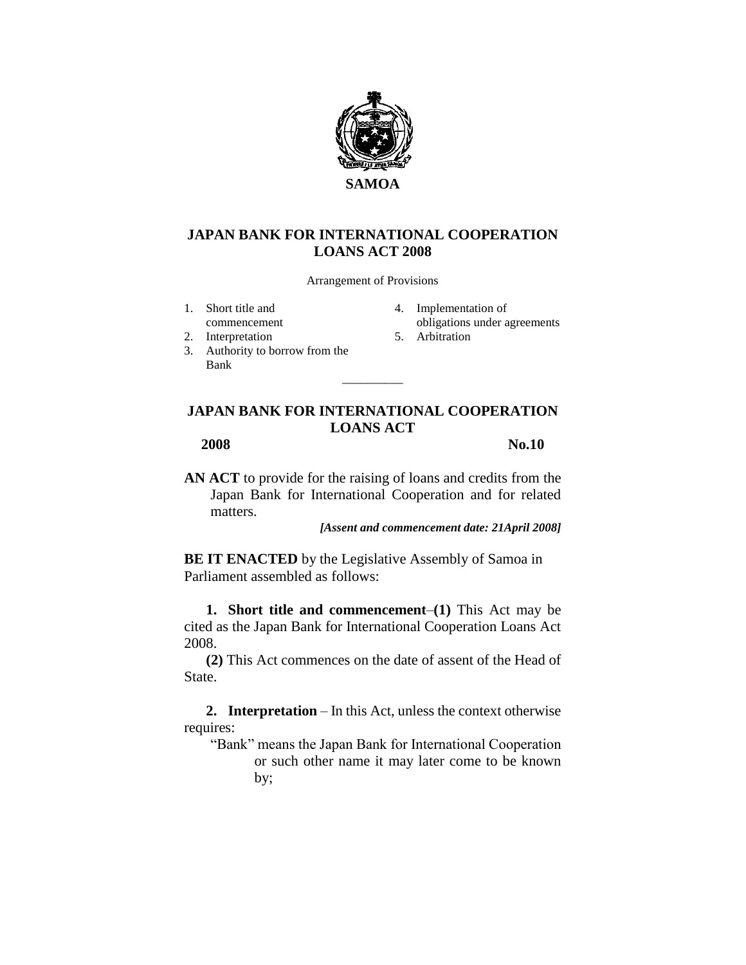

## **JAPAN BANK FOR INTERNATIONAL COOPERATION LOANS ACT 2008**

Arrangement of Provisions

- 1. Short title and
- commencement
- 2. Interpretation
- 3. Authority to borrow from the Bank
- 4. Implementation of obligations under agreements
- 5. Arbitration

## **JAPAN BANK FOR INTERNATIONAL COOPERATION LOANS ACT**

 $\overline{\phantom{a}}$ 

**2008 No.10**

**AN ACT** to provide for the raising of loans and credits from the Japan Bank for International Cooperation and for related matters.

*[Assent and commencement date: 21April 2008]*

**BE IT ENACTED** by the Legislative Assembly of Samoa in Parliament assembled as follows:

**1. Short title and commencement**–**(1)** This Act may be cited as the Japan Bank for International Cooperation Loans Act 2008.

**(2)** This Act commences on the date of assent of the Head of State.

**2. Interpretation** – In this Act, unless the context otherwise requires:

"Bank" means the Japan Bank for International Cooperation or such other name it may later come to be known by;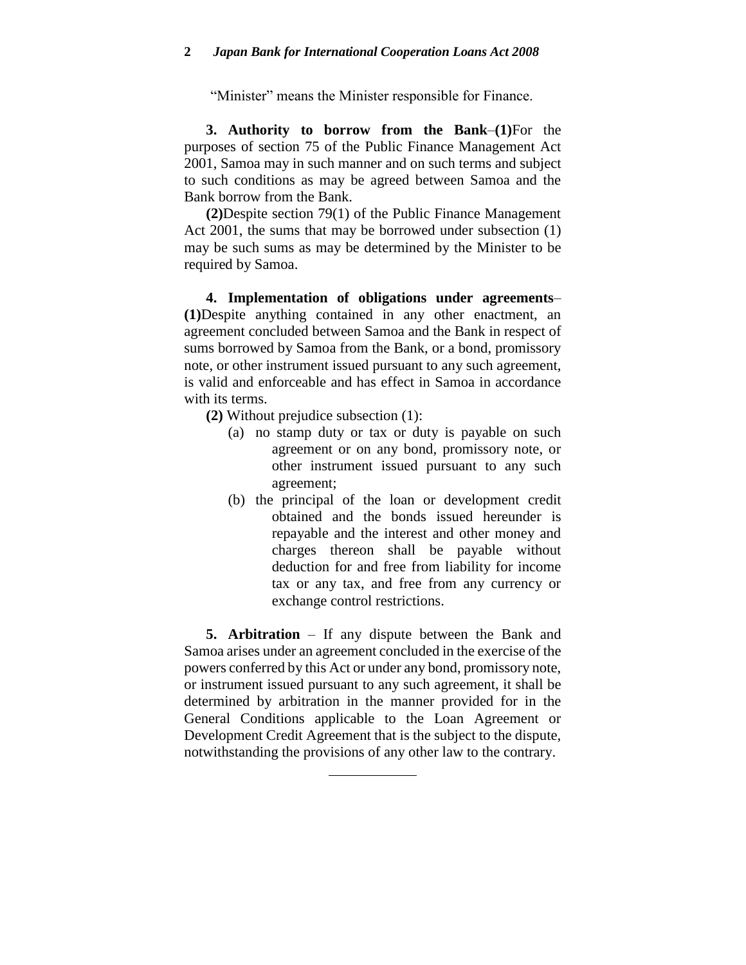"Minister" means the Minister responsible for Finance.

**3. Authority to borrow from the Bank**–**(1)**For the purposes of section 75 of the Public Finance Management Act 2001, Samoa may in such manner and on such terms and subject to such conditions as may be agreed between Samoa and the Bank borrow from the Bank.

**(2)**Despite section 79(1) of the Public Finance Management Act 2001, the sums that may be borrowed under subsection (1) may be such sums as may be determined by the Minister to be required by Samoa.

**4. Implementation of obligations under agreements**– **(1)**Despite anything contained in any other enactment, an agreement concluded between Samoa and the Bank in respect of sums borrowed by Samoa from the Bank, or a bond, promissory note, or other instrument issued pursuant to any such agreement, is valid and enforceable and has effect in Samoa in accordance with its terms.

- **(2)** Without prejudice subsection (1):
	- (a) no stamp duty or tax or duty is payable on such agreement or on any bond, promissory note, or other instrument issued pursuant to any such agreement;
	- (b) the principal of the loan or development credit obtained and the bonds issued hereunder is repayable and the interest and other money and charges thereon shall be payable without deduction for and free from liability for income tax or any tax, and free from any currency or exchange control restrictions.

**5. Arbitration** – If any dispute between the Bank and Samoa arises under an agreement concluded in the exercise of the powers conferred by this Act or under any bond, promissory note, or instrument issued pursuant to any such agreement, it shall be determined by arbitration in the manner provided for in the General Conditions applicable to the Loan Agreement or Development Credit Agreement that is the subject to the dispute, notwithstanding the provisions of any other law to the contrary.